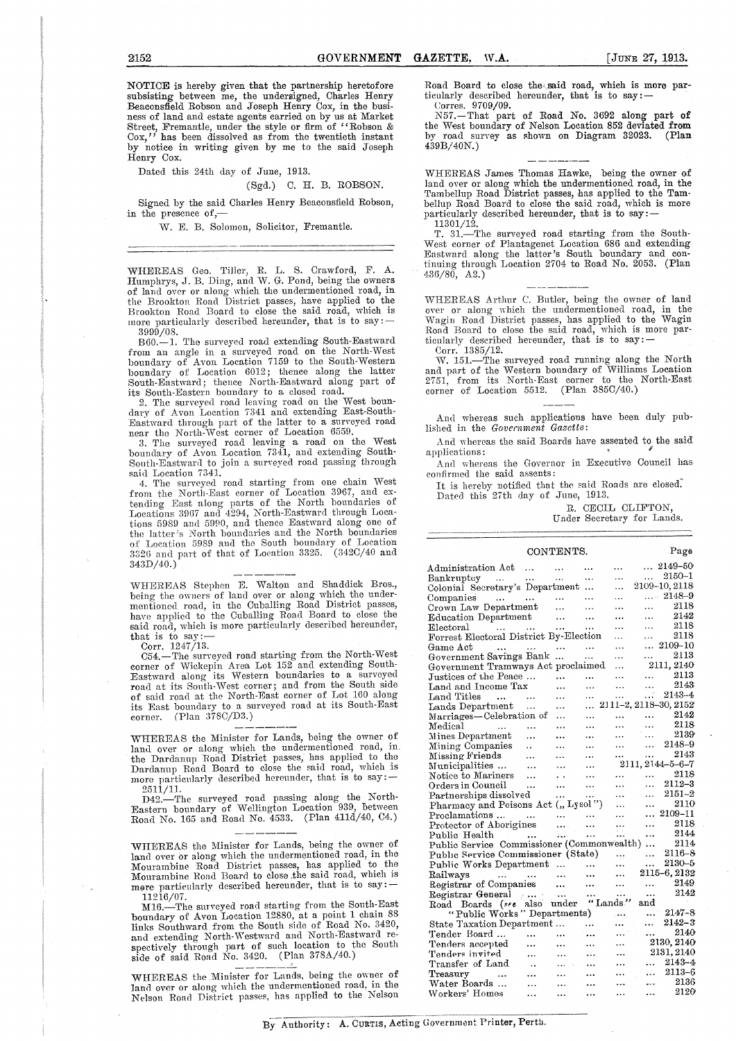NOTICE is hereby given that the partnership heretofore subsisting between me, the undersigned, Charles Henry Beaconsfield Robson and Joseph Henry Cox, in the business of land and estate agents carried on by us at Market Street, Fremantle, under the style or firm of "Robson & Cox," has been dissolved as from the twentieth instant by notice in writing given by me to the said Joseph Henry Cox.

Dated this 24th day of June, 1913.

## (Sgd.) C. H. B. ROBSON.

Signed by the said Charles Henry Beaconsfield Robson, in the presence of,—

W. E. B. Solomon, Solicitor, Fremantle.

WHEREAS Geo. Tiller, R. L. S. Crawford, F. A. Humphrys, J. B. Ding, and W. G. Pond, being the owners of land over or along which the undermentioned road, in the Brookton Road District passes, have applied to the Brookton Road Board to close the said road, which is more particularly described hereunder, that is to  $say:-$ 3999/08.

B60.—]. The surveyed road extending South-Eastward from an angle in a surveyed road on the North-West boundary of Avon Location 7159 to the South-Western boundary of Location 6012; thence along the latter South-Eastward; thence North-Eastward along part of its South-Eastern boundary to a closed road.

2. The surveyed road leaving road on the West boundary of Avon Location 7341 and extending East-South-Eastward through part of the latter to a surveyed road

near the North-West corner of Location 6559. 3. The surveyed road leaving a road on the West boundary of Avon Location 7341, and extending South-South-Eastward to join a surveyed road passing through said Location 7341.<br>
4. The surveyed road starting from one chain West

from the North-East corner of Location 3967, and extending East along parts of the North boundaries of Locations 3967 and 4294, North-Eastward through Locations 5989 and 5990, and thence Eastward along one of the latter's North boundaries and the North boundaries of Location 5989 and the South boundary of Location  $3326$  and part of that of Location  $3325.$   $(342C/40)$  and  $343D/40.$ )

WHEREAS Stephen E. Walton and Shaddick Bros., being the owners of laud over or along which the under-mentioned road, in the Cuballing Road District passes, have applied to the Cuballing Road Board to close the said road, which is more particularly described hereunder, that is to say:— Corr. 1247/13.

C54.—The surveyed road starting from the North-West corner of Wickepin Area Lot 152 and extending South-Eastward along its Western boundaries to a surveyed road at its South-West corner; and from the South side of said road at the North-East corner of Lot 160 along of said road at the North-East corner of Lot 160 along its East boundary to a surveyed road at its South-East  $corr.$  (Plan  $378C/D3.$ )

WHEREAS the Minister for Lands, being the owner of land over or along which the undermentioned road, in. the Dardanup Road District passes; has applied to the Dardanup Road Board to close the said road, which is more particularly described hereunder, that is to say: - $2511/11.$ 

D42.—The surveyed road passing along the North-Eastern boundary of Wellington Location 939, between Road No. 165 and Road No. 4533. (Plan 411d/40, C4.)

WHEREAS the Minister for Lands, being the owner of land over or along which the undermentioned road, in the Mourambine Road District passes, has applied to the Mourambine Road Board to close the said road, which is more particularly described hereunder, that is to say:

11216/07. M16.—The surveyed road starting from the South-East boundary of Avon Location 12880, at a point 1 chain 88 links Southward from the South side of Road No. 3420, and extending North-Westward and North-Eastward re-spectively through part of such location to the South side of said Road No. 3420. (Plan 378A/40.)

WHEREAS the .Minister for Lands, being the owner of land over or along which the undermentioned road, in the Nelson Road District passes, has applied to the Nelson Road Board to close the said road, which is more particularly described hereunder, that is to say:— Corres. 9709/09.

N57.—That part of Road No. 3692 along part of the West boundary of Nelson Location 852 deviated from by road survey as shown on Diagram 32023. (Plan  $439B/40N.$ 

WHEREAS James Thomas Hawke, being the owner of land over or along which the undermentioned road, in the Tambellup Road District passes, has applied to the Tambellup Road Board to close the said road, which is more particularly described hereunder, that is to say:- 11301/12.

T. 31.—The surveyed road starting from the South-West corner of Plantagenet Location 686 and extending Eastward along the latter's South boundary and con-tinuing through Location 2704 to Road No. 2053. (Plan  $436/80, \ \mathbf{A2.})^{\top}$ 

WHEREAS Arthur C. Butler, being the owner of land over or along which the undermentioned road, in the Wagin Road District passes, has applied to the Wagin Road Board to close the said road, which is more particularly described hereunder, that is to say : — Corr. 1385/12.

W. 151.—The surveyed road running along the North and part of the Western boundary of Williams Location 2751, from its North-East corner to the North-East corner of Location 5512. (Plan 385C/40.)

And whereas such applications have been duly published in the *Government Gazette:* 

And whereas the said Boards have assented to the said applications:

And whereas the Governor in Executive Council has confirmed the said assents:

It is hereby notified that the said Roads are closed. Dated this 27th day of June, 1913.

R. CECIL CLIFTON, Under Secretary for Lands.

|                                                                            | CONTENTS.              |                                   |           |                      |              | Page                     |
|----------------------------------------------------------------------------|------------------------|-----------------------------------|-----------|----------------------|--------------|--------------------------|
| Administration Act                                                         |                        |                                   |           | .                    |              | $\ldots$ 2149-50         |
| Bankruptcy<br>$\sim 100$ km s $^{-1}$                                      | $\ldots$               |                                   |           | .                    | $\cdots$     | 2150-1                   |
| Colonial Secretary's Department                                            |                        |                                   |           | .                    |              | 2109-10, 2118            |
| Companies<br>and a series of the series                                    |                        |                                   | .         | .                    |              | $\ldots$ 2148–9          |
| Crown Law Department                                                       |                        | $\cdots$                          |           |                      | .            | 2118                     |
| Education Department                                                       |                        |                                   |           | .                    | .            | 2142                     |
| $_{\rm Electoral}$                                                         |                        |                                   | .         |                      | $\ddotsc$    | 2118                     |
| Forrest Electoral District By-Election                                     |                        |                                   |           | .                    | .            | 2118                     |
| Game Act<br>$\cdots$                                                       | $\ddotsc$              |                                   |           | .                    |              | $\ldots$ 2109-10         |
| Government Savings Bank                                                    |                        | $\ddotsc$                         | .         | .                    | .            | 2113                     |
| Government Tramways Act proclaimed                                         |                        |                                   |           | .                    |              | 2111, 2140               |
| Justices of the Peace                                                      |                        | .                                 | .         | .                    | $\ddotsc$    | 2113                     |
| Land and Income Tax                                                        |                        | $\ddotsc$                         | $\ddotsc$ |                      | $\ddotsc$    | 2143                     |
| Land Titles<br>$\sim$ $\sim$                                               | $\ddotsc$              | .                                 | .         | $\ddotsc$            | $\mathbf{H}$ | $2143 - 4$               |
| Lands Department                                                           |                        | .                                 | $\ddotsc$ |                      |              | 2111-2, 2118-30, 2152    |
| Marriages—Celebration of                                                   |                        |                                   |           |                      | .            | 2142                     |
| Medical<br><b>Contract Contract</b>                                        | $\ddotsc$              | .                                 | $\cdots$  |                      | $\ddotsc$    | 2118                     |
| Mines Department                                                           | $\ddotsc$              |                                   |           | .                    | .            | 2139                     |
| Mining Companies                                                           | $\ddotsc$              | $\ddotsc$                         |           | $\ddotsc$            | .            | 2148-9                   |
| Missing Friends                                                            | $\ddotsc$              | .                                 | $\ddotsc$ | $\cdots$             | $\cdots$     | 2143                     |
| Municipalities                                                             | $\cdots$               | $\cdots$                          |           |                      |              | $2111, 2144 - 5 - 6 - 7$ |
| Notice to Mariners                                                         | .                      | . .                               |           |                      |              | 2118                     |
| Orders in Council                                                          | .                      | $\ddotsc$                         | .         |                      | .            | $2112 - 3$               |
| Partnerships dissolved                                                     |                        | .                                 | $\cdots$  | $\cdots$             |              | $2151 - 2$               |
| Pharmacy and Poisons Act ("Lysol")                                         |                        |                                   |           | $\ddot{\phantom{0}}$ |              | 2110                     |
| Proclamations                                                              |                        | <b>Contract Contract</b>          |           | .                    |              | 2109–11                  |
| Protector of Aborigines                                                    |                        | $\mathbf{r}_i$ , $\mathbf{r}_i$ , | .         |                      | .            | 2118                     |
| Public Health<br>$\mathcal{L}_{\text{max}}$ and $\mathcal{L}_{\text{max}}$ |                        | المحالى                           | $\ddotsc$ |                      | $\ddotsc$    | 2144                     |
| Public Service Commissioner (Commonwealth)                                 |                        |                                   |           |                      | $\ddotsc$    | 2114                     |
| Public Service Commissioner (State)                                        |                        |                                   |           | $\ddotsc$            | .            | $2116 - 8$               |
| Public Works Department                                                    |                        |                                   |           | .                    |              | 2130-5                   |
| Railways<br>فتترا المتواصل                                                 |                        |                                   |           | $\ddotsc$            |              | 2115-6, 2132             |
| Registrar of Companies                                                     |                        |                                   |           | .                    |              | 2149                     |
| Registrar General $\ldots$                                                 |                        | $\cdots$                          |           |                      |              | 2142                     |
| Road Boards (see also under                                                |                        |                                   | "Lands"   |                      | and          |                          |
| "Public Works" Departments)                                                |                        |                                   |           | المقما               | aan in       | $2147 - 8$               |
| State Taxation Department                                                  |                        |                                   |           |                      | .            | $2142 - 3$               |
| Tender Board                                                               |                        | $\ddotsc$                         |           | $\cdots$             | $\ddotsc$    | 2140                     |
| Tenders accepted                                                           |                        |                                   |           |                      |              | 2130, 2140               |
| Tenders invited                                                            |                        | $\ddotsc$                         |           |                      |              | 2131, 2140               |
| Transfer of Land                                                           |                        | $\ddotsc$                         |           | .                    | ekkolo       | $2143 - 4$               |
| Treasury                                                                   | $\ddotsc$<br>$\ddotsc$ | .                                 | .         |                      |              | $2113 - 6$               |
| $\ddotsc$<br>Water Boards                                                  | .                      |                                   |           | وبولو                | .<br>        | 2136                     |
| Workers' Homes                                                             |                        |                                   |           |                      |              | 2120                     |
|                                                                            | .                      |                                   | .         |                      |              |                          |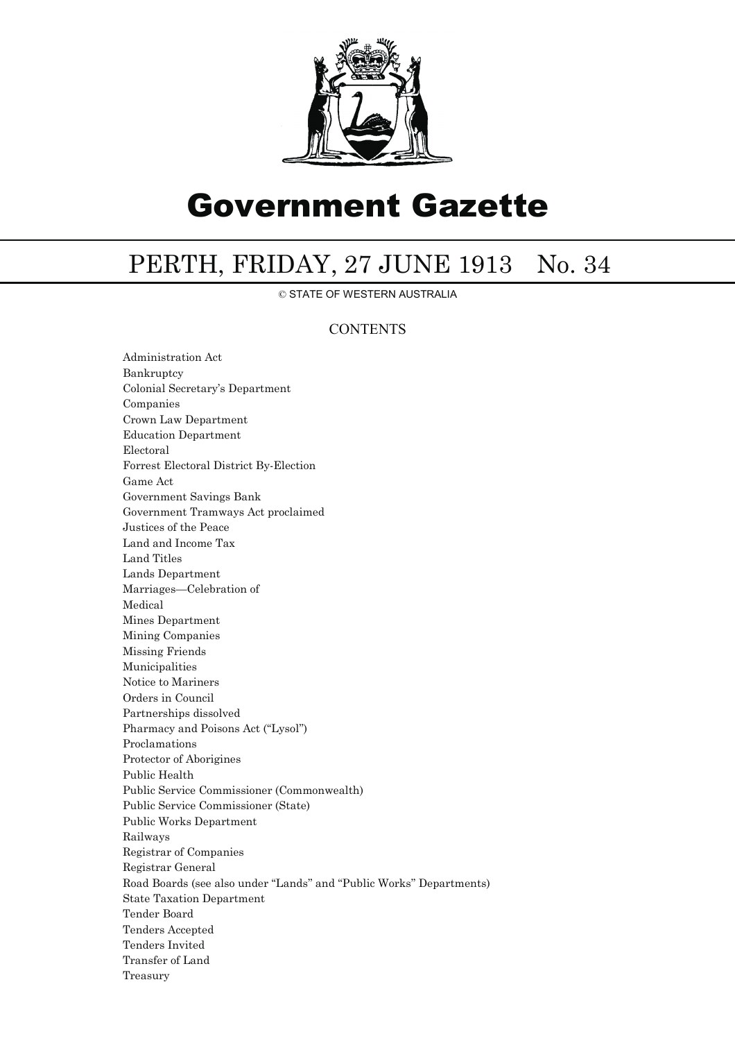

## Government Gazette

## PERTH, FRIDAY, 27 JUNE 1913 No. 34

© STATE OF WESTERN AUSTRALIA

## **CONTENTS**

Administration Act Bankruptcy Colonial Secretary's Department Companies Crown Law Department Education Department Electoral Forrest Electoral District By-Election Game Act Government Savings Bank Government Tramways Act proclaimed Justices of the Peace Land and Income Tax Land Titles Lands Department Marriages—Celebration of Medical Mines Department Mining Companies Missing Friends Municipalities Notice to Mariners Orders in Council Partnerships dissolved Pharmacy and Poisons Act ("Lysol") Proclamations Protector of Aborigines Public Health Public Service Commissioner (Commonwealth) Public Service Commissioner (State) Public Works Department Railways Registrar of Companies Registrar General Road Boards (see also under ''Lands'' and ''Public Works'' Departments) State Taxation Department Tender Board Tenders Accepted Tenders Invited Transfer of Land Treasury